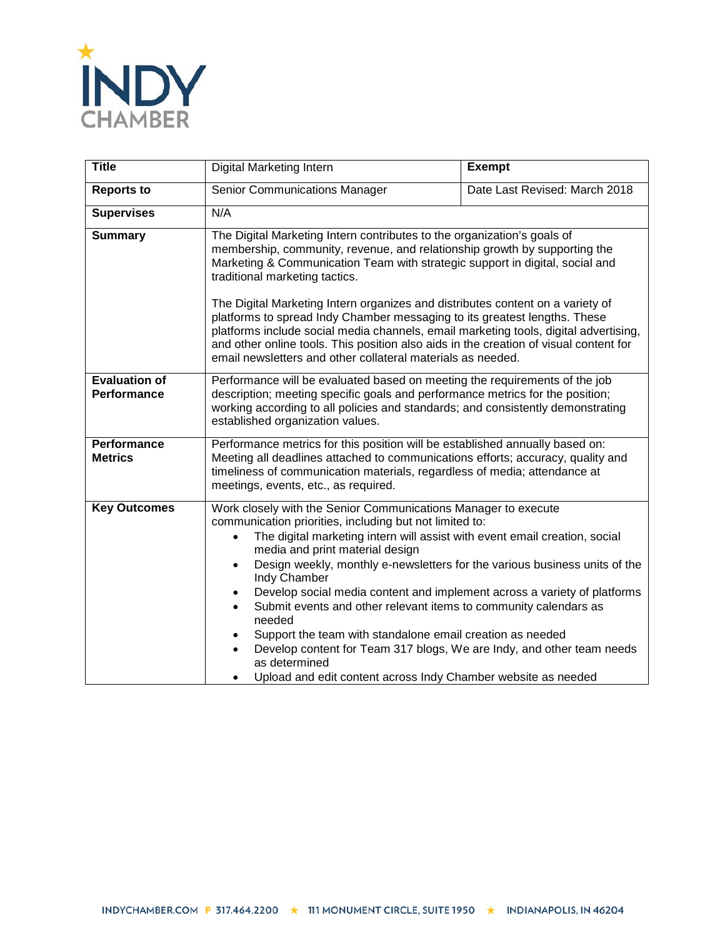

| <b>Title</b>                               | Digital Marketing Intern                                                                                                                                                                                                                                                                                                                                                                                                                                                                                                                                                                                                                                                                                                                                                                    | <b>Exempt</b>                 |
|--------------------------------------------|---------------------------------------------------------------------------------------------------------------------------------------------------------------------------------------------------------------------------------------------------------------------------------------------------------------------------------------------------------------------------------------------------------------------------------------------------------------------------------------------------------------------------------------------------------------------------------------------------------------------------------------------------------------------------------------------------------------------------------------------------------------------------------------------|-------------------------------|
| <b>Reports to</b>                          | <b>Senior Communications Manager</b>                                                                                                                                                                                                                                                                                                                                                                                                                                                                                                                                                                                                                                                                                                                                                        | Date Last Revised: March 2018 |
| <b>Supervises</b>                          | N/A                                                                                                                                                                                                                                                                                                                                                                                                                                                                                                                                                                                                                                                                                                                                                                                         |                               |
| <b>Summary</b>                             | The Digital Marketing Intern contributes to the organization's goals of<br>membership, community, revenue, and relationship growth by supporting the<br>Marketing & Communication Team with strategic support in digital, social and<br>traditional marketing tactics.<br>The Digital Marketing Intern organizes and distributes content on a variety of<br>platforms to spread Indy Chamber messaging to its greatest lengths. These<br>platforms include social media channels, email marketing tools, digital advertising,<br>and other online tools. This position also aids in the creation of visual content for<br>email newsletters and other collateral materials as needed.                                                                                                       |                               |
| <b>Evaluation of</b><br><b>Performance</b> | Performance will be evaluated based on meeting the requirements of the job<br>description; meeting specific goals and performance metrics for the position;<br>working according to all policies and standards; and consistently demonstrating<br>established organization values.                                                                                                                                                                                                                                                                                                                                                                                                                                                                                                          |                               |
| <b>Performance</b><br><b>Metrics</b>       | Performance metrics for this position will be established annually based on:<br>Meeting all deadlines attached to communications efforts; accuracy, quality and<br>timeliness of communication materials, regardless of media; attendance at<br>meetings, events, etc., as required.                                                                                                                                                                                                                                                                                                                                                                                                                                                                                                        |                               |
| <b>Key Outcomes</b>                        | Work closely with the Senior Communications Manager to execute<br>communication priorities, including but not limited to:<br>The digital marketing intern will assist with event email creation, social<br>$\bullet$<br>media and print material design<br>Design weekly, monthly e-newsletters for the various business units of the<br>$\bullet$<br>Indy Chamber<br>Develop social media content and implement across a variety of platforms<br>$\bullet$<br>Submit events and other relevant items to community calendars as<br>$\bullet$<br>needed<br>Support the team with standalone email creation as needed<br>Develop content for Team 317 blogs, We are Indy, and other team needs<br>$\bullet$<br>as determined<br>Upload and edit content across Indy Chamber website as needed |                               |